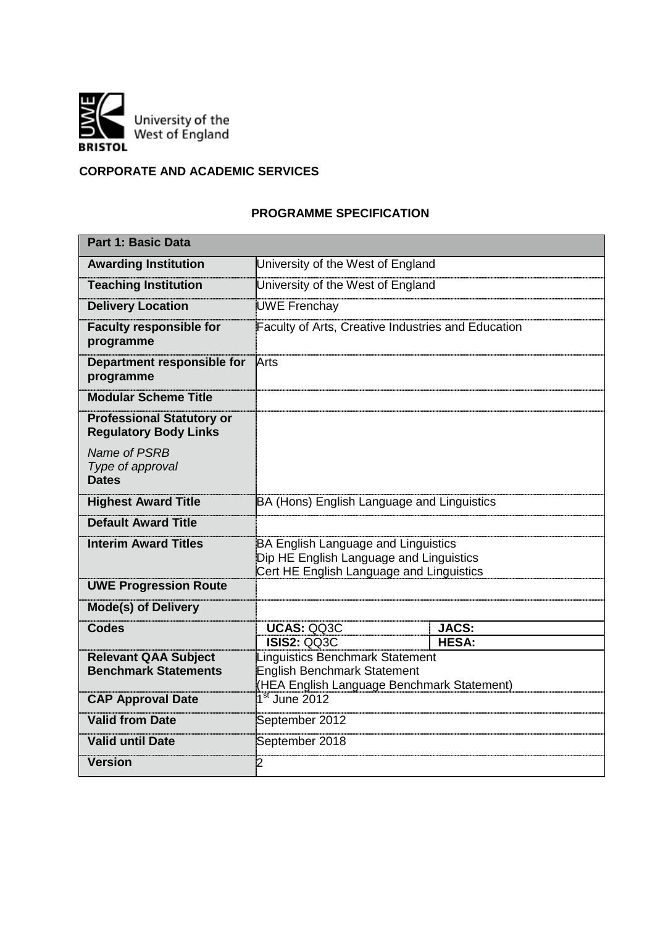

# **CORPORATE AND ACADEMIC SERVICES**

## **PROGRAMME SPECIFICATION**

| Part 1: Basic Data                                               |                                                                                                                            |                              |  |  |  |
|------------------------------------------------------------------|----------------------------------------------------------------------------------------------------------------------------|------------------------------|--|--|--|
| <b>Awarding Institution</b>                                      | University of the West of England                                                                                          |                              |  |  |  |
| <b>Teaching Institution</b>                                      | University of the West of England                                                                                          |                              |  |  |  |
| <b>Delivery Location</b>                                         | <b>UWE Frenchay</b>                                                                                                        |                              |  |  |  |
| <b>Faculty responsible for</b><br>programme                      | Faculty of Arts, Creative Industries and Education                                                                         |                              |  |  |  |
| Department responsible for<br>programme                          | Arts                                                                                                                       |                              |  |  |  |
| <b>Modular Scheme Title</b>                                      |                                                                                                                            |                              |  |  |  |
| <b>Professional Statutory or</b><br><b>Regulatory Body Links</b> |                                                                                                                            |                              |  |  |  |
| Name of PSRB<br>Type of approval<br><b>Dates</b>                 |                                                                                                                            |                              |  |  |  |
| <b>Highest Award Title</b>                                       | BA (Hons) English Language and Linguistics                                                                                 |                              |  |  |  |
| <b>Default Award Title</b>                                       |                                                                                                                            |                              |  |  |  |
| <b>Interim Award Titles</b>                                      | BA English Language and Linguistics<br>Dip HE English Language and Linguistics<br>Cert HE English Language and Linguistics |                              |  |  |  |
| <b>UWE Progression Route</b>                                     |                                                                                                                            |                              |  |  |  |
| <b>Mode(s) of Delivery</b>                                       |                                                                                                                            |                              |  |  |  |
| <b>Codes</b>                                                     | <b>UCAS: QQ3C</b><br><b>ISIS2: QQ3C</b>                                                                                    | <b>JACS:</b><br><b>HESA:</b> |  |  |  |
| <b>Relevant QAA Subject</b><br><b>Benchmark Statements</b>       | Linguistics Benchmark Statement<br><b>English Benchmark Statement</b><br>(HEA English Language Benchmark Statement)        |                              |  |  |  |
| <b>CAP Approval Date</b>                                         | $1st$ June 2012                                                                                                            |                              |  |  |  |
| <b>Valid from Date</b>                                           | September 2012                                                                                                             |                              |  |  |  |
| <b>Valid until Date</b>                                          | September 2018                                                                                                             |                              |  |  |  |
| <b>Version</b>                                                   | $\overline{2}$                                                                                                             |                              |  |  |  |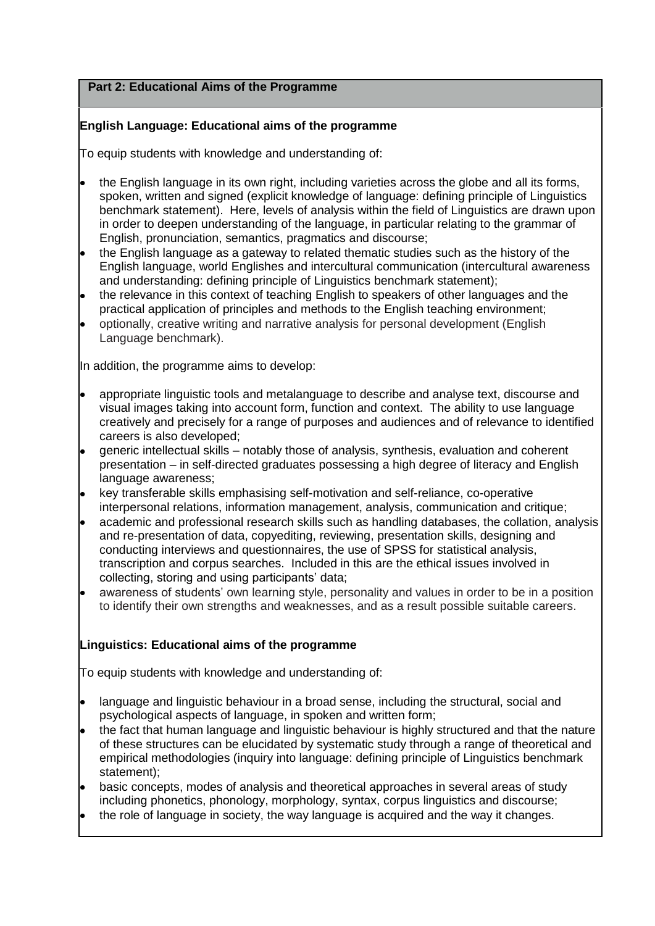## **Part 2: Educational Aims of the Programme**

## **English Language: Educational aims of the programme**

To equip students with knowledge and understanding of:

- the English language in its own right, including varieties across the globe and all its forms, spoken, written and signed (explicit knowledge of language: defining principle of Linguistics benchmark statement). Here, levels of analysis within the field of Linguistics are drawn upon in order to deepen understanding of the language, in particular relating to the grammar of English, pronunciation, semantics, pragmatics and discourse;
- the English language as a gateway to related thematic studies such as the history of the English language, world Englishes and intercultural communication (intercultural awareness and understanding: defining principle of Linguistics benchmark statement);
- the relevance in this context of teaching English to speakers of other languages and the practical application of principles and methods to the English teaching environment;
- optionally, creative writing and narrative analysis for personal development (English Language benchmark).

In addition, the programme aims to develop:

- appropriate linguistic tools and metalanguage to describe and analyse text, discourse and visual images taking into account form, function and context. The ability to use language creatively and precisely for a range of purposes and audiences and of relevance to identified careers is also developed;
- generic intellectual skills notably those of analysis, synthesis, evaluation and coherent presentation – in self-directed graduates possessing a high degree of literacy and English language awareness;
- key transferable skills emphasising self-motivation and self-reliance, co-operative interpersonal relations, information management, analysis, communication and critique;
- academic and professional research skills such as handling databases, the collation, analysis and re-presentation of data, copyediting, reviewing, presentation skills, designing and conducting interviews and questionnaires, the use of SPSS for statistical analysis, transcription and corpus searches. Included in this are the ethical issues involved in collecting, storing and using participants' data;
- awareness of students' own learning style, personality and values in order to be in a position to identify their own strengths and weaknesses, and as a result possible suitable careers.

## **Linguistics: Educational aims of the programme**

To equip students with knowledge and understanding of:

- language and linguistic behaviour in a broad sense, including the structural, social and psychological aspects of language, in spoken and written form;
- the fact that human language and linguistic behaviour is highly structured and that the nature of these structures can be elucidated by systematic study through a range of theoretical and empirical methodologies (inquiry into language: defining principle of Linguistics benchmark statement);
- basic concepts, modes of analysis and theoretical approaches in several areas of study including phonetics, phonology, morphology, syntax, corpus linguistics and discourse;
- the role of language in society, the way language is acquired and the way it changes.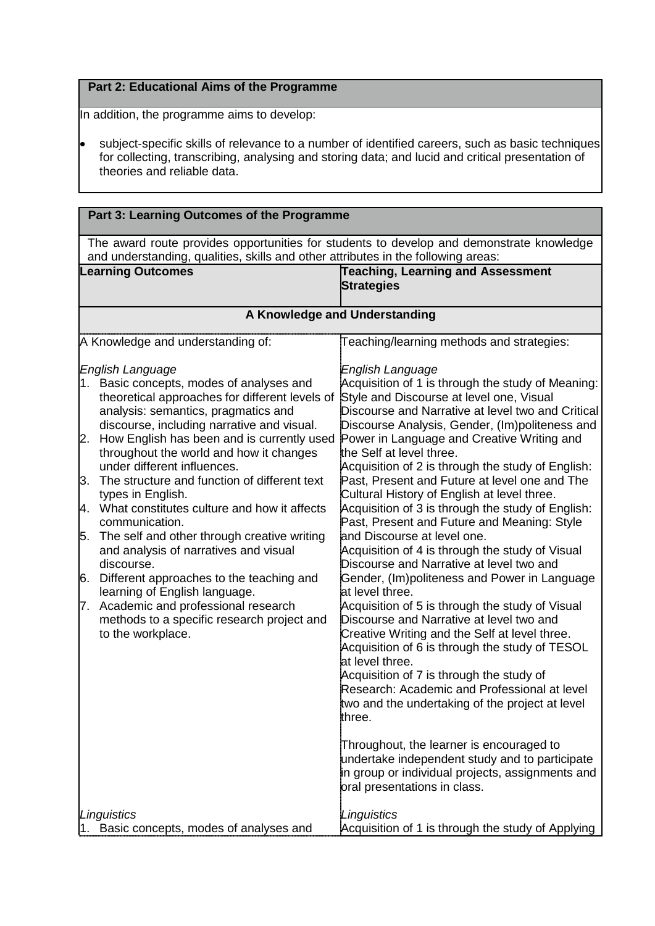## **Part 2: Educational Aims of the Programme**

In addition, the programme aims to develop:

subject-specific skills of relevance to a number of identified careers, such as basic techniques for collecting, transcribing, analysing and storing data; and lucid and critical presentation of theories and reliable data.

| Part 3: Learning Outcomes of the Programme                                                                                                                                    |                                                                                                    |  |  |  |
|-------------------------------------------------------------------------------------------------------------------------------------------------------------------------------|----------------------------------------------------------------------------------------------------|--|--|--|
| The award route provides opportunities for students to develop and demonstrate knowledge<br>and understanding, qualities, skills and other attributes in the following areas: |                                                                                                    |  |  |  |
| <b>Learning Outcomes</b>                                                                                                                                                      | Teaching, Learning and Assessment                                                                  |  |  |  |
|                                                                                                                                                                               | <b>Strategies</b>                                                                                  |  |  |  |
|                                                                                                                                                                               |                                                                                                    |  |  |  |
|                                                                                                                                                                               | A Knowledge and Understanding                                                                      |  |  |  |
| A Knowledge and understanding of:                                                                                                                                             | Teaching/learning methods and strategies:                                                          |  |  |  |
| <b>English Language</b>                                                                                                                                                       | English Language                                                                                   |  |  |  |
| 1. Basic concepts, modes of analyses and                                                                                                                                      | Acquisition of 1 is through the study of Meaning:                                                  |  |  |  |
| theoretical approaches for different levels of<br>analysis: semantics, pragmatics and                                                                                         | Style and Discourse at level one, Visual<br>Discourse and Narrative at level two and Critical      |  |  |  |
| discourse, including narrative and visual.                                                                                                                                    | Discourse Analysis, Gender, (Im)politeness and                                                     |  |  |  |
| How English has been and is currently used<br>2.                                                                                                                              | Power in Language and Creative Writing and                                                         |  |  |  |
| throughout the world and how it changes                                                                                                                                       | the Self at level three.                                                                           |  |  |  |
| under different influences.<br>3.<br>The structure and function of different text                                                                                             | Acquisition of 2 is through the study of English:<br>Past, Present and Future at level one and The |  |  |  |
| types in English.                                                                                                                                                             | Cultural History of English at level three.                                                        |  |  |  |
| 4. What constitutes culture and how it affects                                                                                                                                | Acquisition of 3 is through the study of English:                                                  |  |  |  |
| communication.                                                                                                                                                                | Past, Present and Future and Meaning: Style                                                        |  |  |  |
| The self and other through creative writing<br>5.                                                                                                                             | and Discourse at level one.                                                                        |  |  |  |
| and analysis of narratives and visual<br>discourse.                                                                                                                           | Acquisition of 4 is through the study of Visual<br>Discourse and Narrative at level two and        |  |  |  |
| 6.<br>Different approaches to the teaching and                                                                                                                                | Gender, (Im)politeness and Power in Language                                                       |  |  |  |
| learning of English language.                                                                                                                                                 | at level three.                                                                                    |  |  |  |
| Academic and professional research<br>7.                                                                                                                                      | Acquisition of 5 is through the study of Visual                                                    |  |  |  |
| methods to a specific research project and                                                                                                                                    | Discourse and Narrative at level two and                                                           |  |  |  |
| to the workplace.                                                                                                                                                             | Creative Writing and the Self at level three.<br>Acquisition of 6 is through the study of TESOL    |  |  |  |
|                                                                                                                                                                               | at level three.                                                                                    |  |  |  |
|                                                                                                                                                                               | Acquisition of 7 is through the study of                                                           |  |  |  |
|                                                                                                                                                                               | Research: Academic and Professional at level                                                       |  |  |  |
|                                                                                                                                                                               | two and the undertaking of the project at level                                                    |  |  |  |
|                                                                                                                                                                               | three.                                                                                             |  |  |  |
|                                                                                                                                                                               | Throughout, the learner is encouraged to                                                           |  |  |  |
|                                                                                                                                                                               | undertake independent study and to participate                                                     |  |  |  |
|                                                                                                                                                                               | in group or individual projects, assignments and<br>oral presentations in class.                   |  |  |  |
|                                                                                                                                                                               |                                                                                                    |  |  |  |
| Linguistics                                                                                                                                                                   | Linguistics                                                                                        |  |  |  |
| Basic concepts, modes of analyses and                                                                                                                                         | Acquisition of 1 is through the study of Applying                                                  |  |  |  |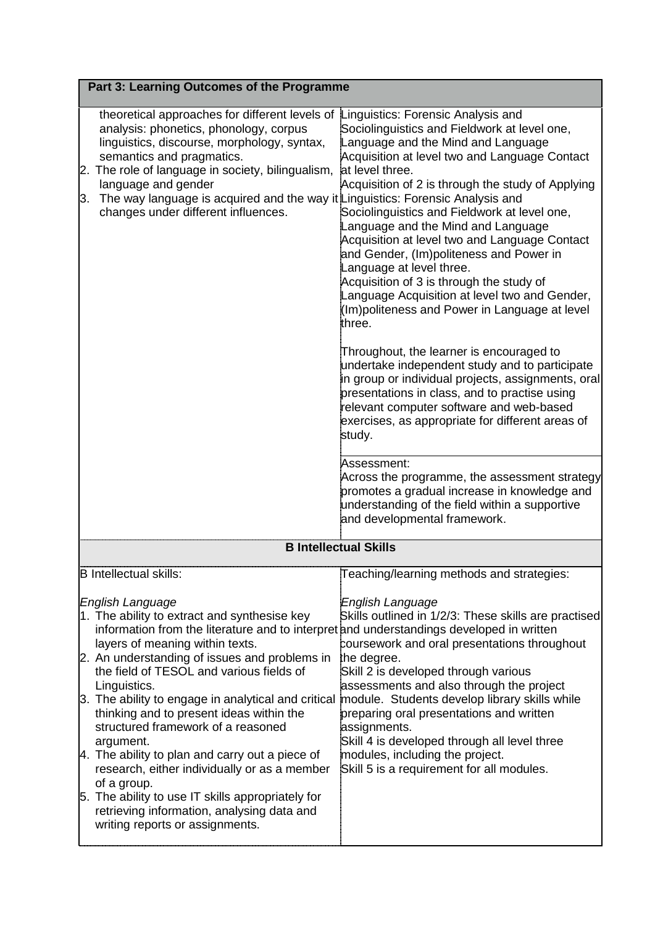| Part 3: Learning Outcomes of the Programme                                                                                                                                                                                                                                                                                                                                                                                                                                                                                                                                                                                                                                                                                        |                                                                                                                                                                                                                                                                                                                                                                                                                                                                                                                                                                                                                                                                                                                                                                                                                                                                                                                                                                                                                                                                                                    |  |  |  |
|-----------------------------------------------------------------------------------------------------------------------------------------------------------------------------------------------------------------------------------------------------------------------------------------------------------------------------------------------------------------------------------------------------------------------------------------------------------------------------------------------------------------------------------------------------------------------------------------------------------------------------------------------------------------------------------------------------------------------------------|----------------------------------------------------------------------------------------------------------------------------------------------------------------------------------------------------------------------------------------------------------------------------------------------------------------------------------------------------------------------------------------------------------------------------------------------------------------------------------------------------------------------------------------------------------------------------------------------------------------------------------------------------------------------------------------------------------------------------------------------------------------------------------------------------------------------------------------------------------------------------------------------------------------------------------------------------------------------------------------------------------------------------------------------------------------------------------------------------|--|--|--|
| theoretical approaches for different levels of Linguistics: Forensic Analysis and<br>analysis: phonetics, phonology, corpus<br>linguistics, discourse, morphology, syntax,<br>semantics and pragmatics.<br>The role of language in society, bilingualism,<br>2.<br>language and gender<br>The way language is acquired and the way it Linguistics: Forensic Analysis and<br>3.<br>changes under different influences.                                                                                                                                                                                                                                                                                                             | Sociolinguistics and Fieldwork at level one,<br>Language and the Mind and Language<br>Acquisition at level two and Language Contact<br>at level three.<br>Acquisition of 2 is through the study of Applying<br>Sociolinguistics and Fieldwork at level one,<br>Language and the Mind and Language<br>Acquisition at level two and Language Contact<br>and Gender, (Im)politeness and Power in<br>Language at level three.<br>Acquisition of 3 is through the study of<br>Language Acquisition at level two and Gender,<br>(Im)politeness and Power in Language at level<br>three.<br>Throughout, the learner is encouraged to<br>undertake independent study and to participate<br>in group or individual projects, assignments, oral<br>presentations in class, and to practise using<br>relevant computer software and web-based<br>exercises, as appropriate for different areas of<br>study.<br>Assessment:<br>Across the programme, the assessment strategy<br>promotes a gradual increase in knowledge and<br>understanding of the field within a supportive<br>and developmental framework. |  |  |  |
|                                                                                                                                                                                                                                                                                                                                                                                                                                                                                                                                                                                                                                                                                                                                   | <b>B Intellectual Skills</b>                                                                                                                                                                                                                                                                                                                                                                                                                                                                                                                                                                                                                                                                                                                                                                                                                                                                                                                                                                                                                                                                       |  |  |  |
| <b>B</b> Intellectual skills:                                                                                                                                                                                                                                                                                                                                                                                                                                                                                                                                                                                                                                                                                                     | Teaching/learning methods and strategies:                                                                                                                                                                                                                                                                                                                                                                                                                                                                                                                                                                                                                                                                                                                                                                                                                                                                                                                                                                                                                                                          |  |  |  |
| <b>English Language</b><br>1. The ability to extract and synthesise key<br>information from the literature and to interpret and understandings developed in written<br>layers of meaning within texts.<br>2. An understanding of issues and problems in<br>the field of TESOL and various fields of<br>Linguistics.<br>3. The ability to engage in analytical and critical<br>thinking and to present ideas within the<br>structured framework of a reasoned<br>argument.<br>4. The ability to plan and carry out a piece of<br>research, either individually or as a member<br>of a group.<br>5. The ability to use IT skills appropriately for<br>retrieving information, analysing data and<br>writing reports or assignments. | English Language<br>Skills outlined in 1/2/3: These skills are practised<br>coursework and oral presentations throughout<br>the degree.<br>Skill 2 is developed through various<br>assessments and also through the project<br>module. Students develop library skills while<br>preparing oral presentations and written<br>assignments.<br>Skill 4 is developed through all level three<br>modules, including the project.<br>Skill 5 is a requirement for all modules.                                                                                                                                                                                                                                                                                                                                                                                                                                                                                                                                                                                                                           |  |  |  |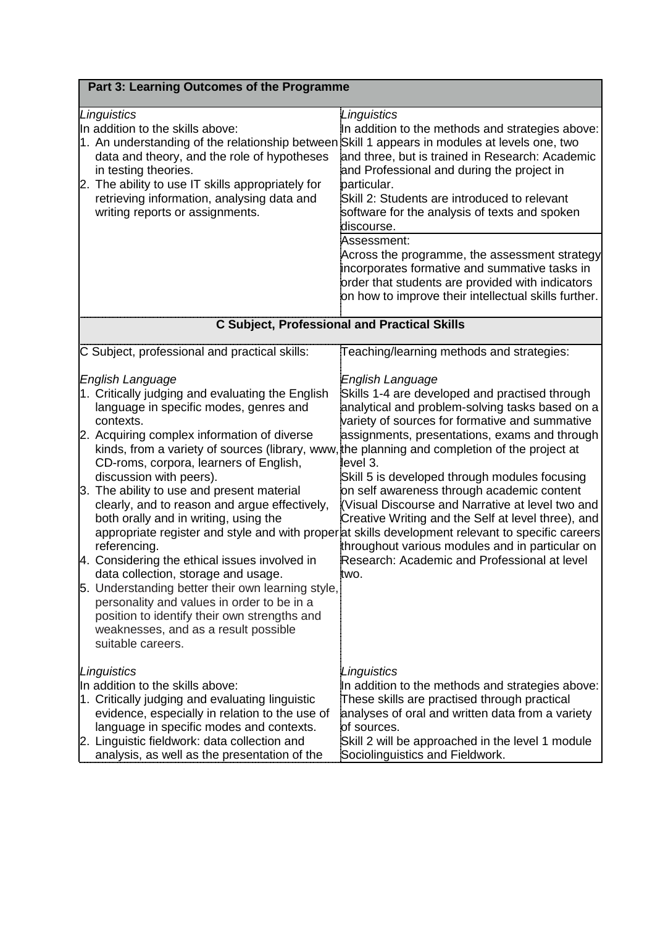| Part 3: Learning Outcomes of the Programme                                                                                                                                                                                                                                                                                                                                                                                                                                                                                                                                                                                                                                                                                                                                                                       |                                                                                                                                                                                                                                                                                                                                                                                                                                                                                                                                                                                                                                                              |  |  |  |  |
|------------------------------------------------------------------------------------------------------------------------------------------------------------------------------------------------------------------------------------------------------------------------------------------------------------------------------------------------------------------------------------------------------------------------------------------------------------------------------------------------------------------------------------------------------------------------------------------------------------------------------------------------------------------------------------------------------------------------------------------------------------------------------------------------------------------|--------------------------------------------------------------------------------------------------------------------------------------------------------------------------------------------------------------------------------------------------------------------------------------------------------------------------------------------------------------------------------------------------------------------------------------------------------------------------------------------------------------------------------------------------------------------------------------------------------------------------------------------------------------|--|--|--|--|
| Linguistics<br>In addition to the skills above:<br>1. An understanding of the relationship between Skill 1 appears in modules at levels one, two<br>data and theory, and the role of hypotheses<br>in testing theories.<br>2. The ability to use IT skills appropriately for<br>retrieving information, analysing data and<br>writing reports or assignments.                                                                                                                                                                                                                                                                                                                                                                                                                                                    | Linguistics<br>In addition to the methods and strategies above:<br>and three, but is trained in Research: Academic<br>and Professional and during the project in<br>particular.<br>Skill 2: Students are introduced to relevant<br>software for the analysis of texts and spoken<br>discourse.                                                                                                                                                                                                                                                                                                                                                               |  |  |  |  |
|                                                                                                                                                                                                                                                                                                                                                                                                                                                                                                                                                                                                                                                                                                                                                                                                                  | Assessment:<br>Across the programme, the assessment strategy<br>incorporates formative and summative tasks in<br>order that students are provided with indicators<br>on how to improve their intellectual skills further.                                                                                                                                                                                                                                                                                                                                                                                                                                    |  |  |  |  |
|                                                                                                                                                                                                                                                                                                                                                                                                                                                                                                                                                                                                                                                                                                                                                                                                                  | <b>C Subject, Professional and Practical Skills</b>                                                                                                                                                                                                                                                                                                                                                                                                                                                                                                                                                                                                          |  |  |  |  |
| C Subject, professional and practical skills:                                                                                                                                                                                                                                                                                                                                                                                                                                                                                                                                                                                                                                                                                                                                                                    | Teaching/learning methods and strategies:                                                                                                                                                                                                                                                                                                                                                                                                                                                                                                                                                                                                                    |  |  |  |  |
| English Language<br>1. Critically judging and evaluating the English<br>language in specific modes, genres and<br>contexts.<br>2. Acquiring complex information of diverse<br>kinds, from a variety of sources (library, www, the planning and completion of the project at<br>CD-roms, corpora, learners of English,<br>discussion with peers).<br>3. The ability to use and present material<br>clearly, and to reason and argue effectively,<br>both orally and in writing, using the<br>referencing.<br>4. Considering the ethical issues involved in<br>data collection, storage and usage.<br>5. Understanding better their own learning style,<br>personality and values in order to be in a<br>position to identify their own strengths and<br>weaknesses, and as a result possible<br>suitable careers. | English Language<br>Skills 1-4 are developed and practised through<br>analytical and problem-solving tasks based on a<br>variety of sources for formative and summative<br>assignments, presentations, exams and through<br>level 3.<br>Skill 5 is developed through modules focusing<br>on self awareness through academic content<br>(Visual Discourse and Narrative at level two and<br>Creative Writing and the Self at level three), and<br>appropriate register and style and with properat skills development relevant to specific careers<br>throughout various modules and in particular on<br>Research: Academic and Professional at level<br>two. |  |  |  |  |
| Linguistics<br>In addition to the skills above:<br>1. Critically judging and evaluating linguistic<br>evidence, especially in relation to the use of<br>language in specific modes and contexts.<br>2. Linguistic fieldwork: data collection and<br>analysis, as well as the presentation of the                                                                                                                                                                                                                                                                                                                                                                                                                                                                                                                 | Linguistics<br>In addition to the methods and strategies above:<br>These skills are practised through practical<br>analyses of oral and written data from a variety<br>of sources.<br>Skill 2 will be approached in the level 1 module<br>Sociolinguistics and Fieldwork.                                                                                                                                                                                                                                                                                                                                                                                    |  |  |  |  |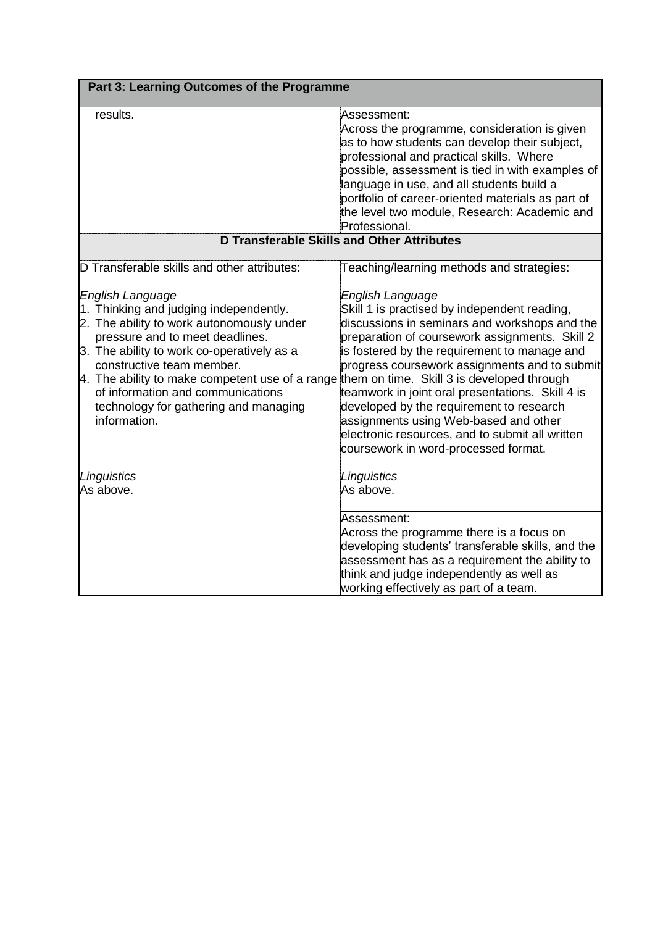|                                                                                                                                                                                                                                                                                                                                                                                                                   | Part 3: Learning Outcomes of the Programme                                                                                                                                                                                                                                                                                                                                                                                                                                                               |  |  |  |  |
|-------------------------------------------------------------------------------------------------------------------------------------------------------------------------------------------------------------------------------------------------------------------------------------------------------------------------------------------------------------------------------------------------------------------|----------------------------------------------------------------------------------------------------------------------------------------------------------------------------------------------------------------------------------------------------------------------------------------------------------------------------------------------------------------------------------------------------------------------------------------------------------------------------------------------------------|--|--|--|--|
| results.                                                                                                                                                                                                                                                                                                                                                                                                          | Assessment:<br>Across the programme, consideration is given<br>as to how students can develop their subject,<br>professional and practical skills. Where<br>possible, assessment is tied in with examples of<br>language in use, and all students build a<br>portfolio of career-oriented materials as part of<br>the level two module, Research: Academic and<br>Professional.                                                                                                                          |  |  |  |  |
| D Transferable Skills and Other Attributes                                                                                                                                                                                                                                                                                                                                                                        |                                                                                                                                                                                                                                                                                                                                                                                                                                                                                                          |  |  |  |  |
| D Transferable skills and other attributes:                                                                                                                                                                                                                                                                                                                                                                       | Teaching/learning methods and strategies:                                                                                                                                                                                                                                                                                                                                                                                                                                                                |  |  |  |  |
| English Language<br>1. Thinking and judging independently.<br>2. The ability to work autonomously under<br>pressure and to meet deadlines.<br>3. The ability to work co-operatively as a<br>constructive team member.<br>4. The ability to make competent use of a range them on time. Skill 3 is developed through<br>of information and communications<br>technology for gathering and managing<br>information. | English Language<br>Skill 1 is practised by independent reading,<br>discussions in seminars and workshops and the<br>preparation of coursework assignments. Skill 2<br>is fostered by the requirement to manage and<br>progress coursework assignments and to submit<br>teamwork in joint oral presentations. Skill 4 is<br>developed by the requirement to research<br>assignments using Web-based and other<br>electronic resources, and to submit all written<br>coursework in word-processed format. |  |  |  |  |
| Linguistics<br>As above.                                                                                                                                                                                                                                                                                                                                                                                          | Linguistics<br>As above.                                                                                                                                                                                                                                                                                                                                                                                                                                                                                 |  |  |  |  |
|                                                                                                                                                                                                                                                                                                                                                                                                                   | Assessment:<br>Across the programme there is a focus on<br>developing students' transferable skills, and the<br>assessment has as a requirement the ability to<br>think and judge independently as well as<br>working effectively as part of a team.                                                                                                                                                                                                                                                     |  |  |  |  |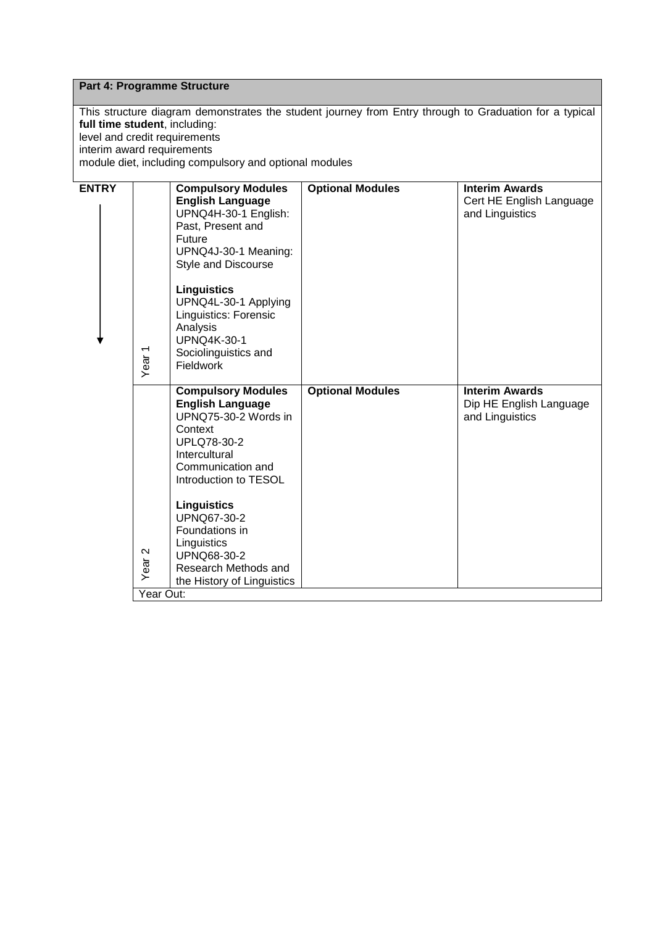## **Part 4: Programme Structure**

This structure diagram demonstrates the student journey from Entry through to Graduation for a typical **full time student**, including: level and credit requirements interim award requirements module diet, including compulsory and optional modules

| <b>ENTRY</b> | Year <sub>1</sub> | <b>Compulsory Modules</b><br><b>English Language</b><br>UPNQ4H-30-1 English:<br>Past, Present and<br>Future<br>UPNQ4J-30-1 Meaning:<br>Style and Discourse<br><b>Linguistics</b><br>UPNQ4L-30-1 Applying<br>Linguistics: Forensic<br>Analysis<br><b>UPNQ4K-30-1</b><br>Sociolinguistics and<br><b>Fieldwork</b>                | <b>Optional Modules</b> | <b>Interim Awards</b><br>Cert HE English Language<br>and Linguistics |  |
|--------------|-------------------|--------------------------------------------------------------------------------------------------------------------------------------------------------------------------------------------------------------------------------------------------------------------------------------------------------------------------------|-------------------------|----------------------------------------------------------------------|--|
|              | Year <sub>2</sub> | <b>Compulsory Modules</b><br><b>English Language</b><br>UPNQ75-30-2 Words in<br>Context<br><b>UPLQ78-30-2</b><br>Intercultural<br>Communication and<br>Introduction to TESOL<br><b>Linguistics</b><br>UPNQ67-30-2<br>Foundations in<br>Linguistics<br><b>UPNQ68-30-2</b><br>Research Methods and<br>the History of Linguistics | <b>Optional Modules</b> | <b>Interim Awards</b><br>Dip HE English Language<br>and Linguistics  |  |
|              | Year Out:         |                                                                                                                                                                                                                                                                                                                                |                         |                                                                      |  |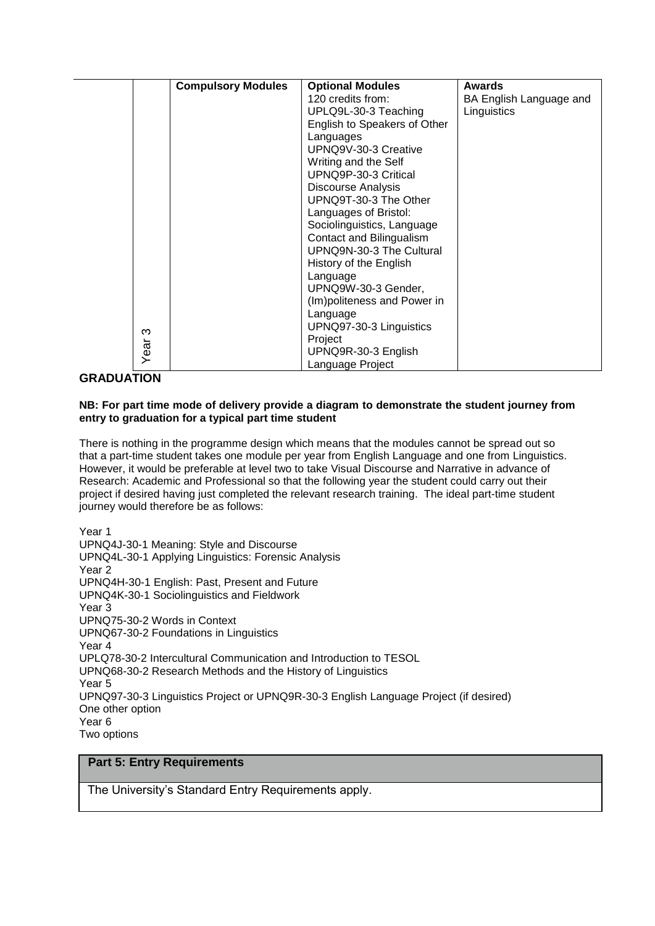|      | <b>Compulsory Modules</b> | <b>Optional Modules</b>      | <b>Awards</b>           |
|------|---------------------------|------------------------------|-------------------------|
|      |                           | 120 credits from:            | BA English Language and |
|      |                           | UPLQ9L-30-3 Teaching         | Linguistics             |
|      |                           | English to Speakers of Other |                         |
|      |                           | Languages                    |                         |
|      |                           | UPNQ9V-30-3 Creative         |                         |
|      |                           | Writing and the Self         |                         |
|      |                           | UPNQ9P-30-3 Critical         |                         |
|      |                           | <b>Discourse Analysis</b>    |                         |
|      |                           | UPNQ9T-30-3 The Other        |                         |
|      |                           | Languages of Bristol:        |                         |
|      |                           | Sociolinguistics, Language   |                         |
|      |                           | Contact and Bilingualism     |                         |
|      |                           | UPNQ9N-30-3 The Cultural     |                         |
|      |                           | History of the English       |                         |
|      |                           | Language                     |                         |
|      |                           | UPNQ9W-30-3 Gender,          |                         |
|      |                           | (Im)politeness and Power in  |                         |
|      |                           | Language                     |                         |
| ო    |                           | UPNQ97-30-3 Linguistics      |                         |
|      |                           | Project                      |                         |
| Year |                           | UPNQ9R-30-3 English          |                         |
|      |                           | Language Project             |                         |

#### **GRADUATION**

#### **NB: For part time mode of delivery provide a diagram to demonstrate the student journey from entry to graduation for a typical part time student**

There is nothing in the programme design which means that the modules cannot be spread out so that a part-time student takes one module per year from English Language and one from Linguistics. However, it would be preferable at level two to take Visual Discourse and Narrative in advance of Research: Academic and Professional so that the following year the student could carry out their project if desired having just completed the relevant research training. The ideal part-time student journey would therefore be as follows:

Year 1 UPNQ4J-30-1 Meaning: Style and Discourse UPNQ4L-30-1 Applying Linguistics: Forensic Analysis Year 2 UPNQ4H-30-1 English: Past, Present and Future UPNQ4K-30-1 Sociolinguistics and Fieldwork Year 3 UPNQ75-30-2 Words in Context UPNQ67-30-2 Foundations in Linguistics Year 4 UPLQ78-30-2 Intercultural Communication and Introduction to TESOL UPNQ68-30-2 Research Methods and the History of Linguistics Year 5 UPNQ97-30-3 Linguistics Project or UPNQ9R-30-3 English Language Project (if desired) One other option Year 6 Two options

#### **Part 5: Entry Requirements**

The University's Standard Entry Requirements apply.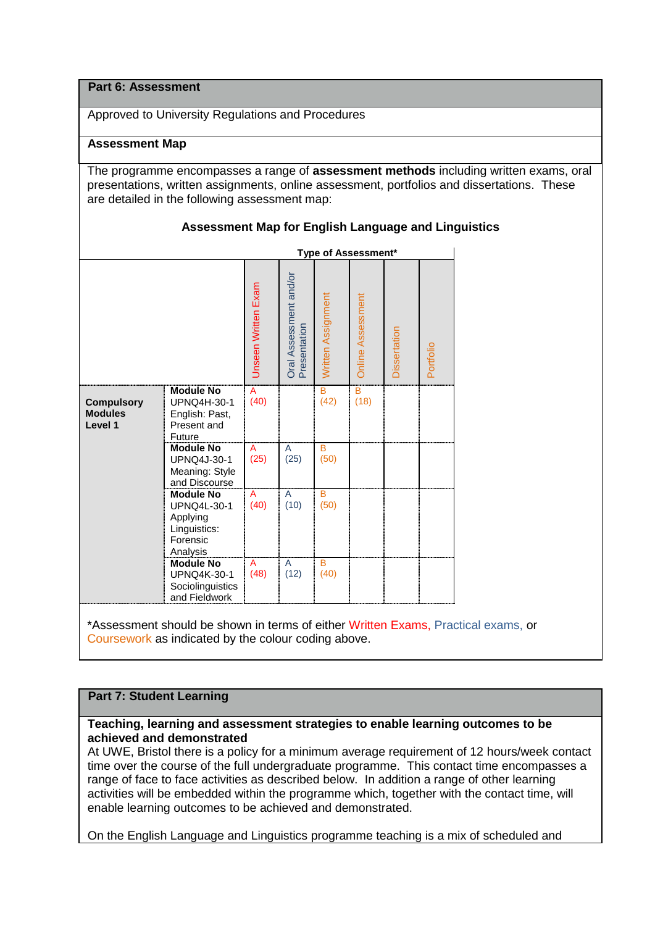#### **Part 6: Assessment**

Approved to University Regulations and Procedures

#### **Assessment Map**

The programme encompasses a range of **assessment methods** including written exams, oral presentations, written assignments, online assessment, portfolios and dissertations. These are detailed in the following assessment map:

#### **Assessment Map for English Language and Linguistics**

|                                                |                                                                                     | Type of Assessment* |                                        |                    |                          |              |           |
|------------------------------------------------|-------------------------------------------------------------------------------------|---------------------|----------------------------------------|--------------------|--------------------------|--------------|-----------|
|                                                |                                                                                     | Unseen Written Exam | Oral Assessment and/or<br>Presentation | Written Assignment | <b>Online Assessment</b> | Dissertation | Portfolio |
| <b>Compulsory</b><br><b>Modules</b><br>Level 1 | <b>Module No</b><br>UPNQ4H-30-1<br>English: Past,<br>Present and<br>Future          | A<br>(40)           |                                        | B<br>(42)          | B<br>(18)                |              |           |
|                                                | <b>Module No</b><br>UPNQ4J-30-1<br>Meaning: Style<br>and Discourse                  | A<br>(25)           | A<br>(25)                              | B<br>(50)          |                          |              |           |
|                                                | <b>Module No</b><br>UPNQ4L-30-1<br>Applying<br>Linguistics:<br>Forensic<br>Analysis | A<br>(40)           | A<br>(10)                              | B<br>(50)          |                          |              |           |
|                                                | <b>Module No</b><br><b>UPNQ4K-30-1</b><br>Sociolinguistics<br>and Fieldwork         | A<br>(48)           | A<br>(12)                              | в<br>(40)          |                          |              |           |

\*Assessment should be shown in terms of either Written Exams, Practical exams, or Coursework as indicated by the colour coding above.

### **Part 7: Student Learning**

#### **Teaching, learning and assessment strategies to enable learning outcomes to be achieved and demonstrated**

At UWE, Bristol there is a policy for a minimum average requirement of 12 hours/week contact time over the course of the full undergraduate programme. This contact time encompasses a range of face to face activities as described below. In addition a range of other learning activities will be embedded within the programme which, together with the contact time, will enable learning outcomes to be achieved and demonstrated.

On the English Language and Linguistics programme teaching is a mix of scheduled and